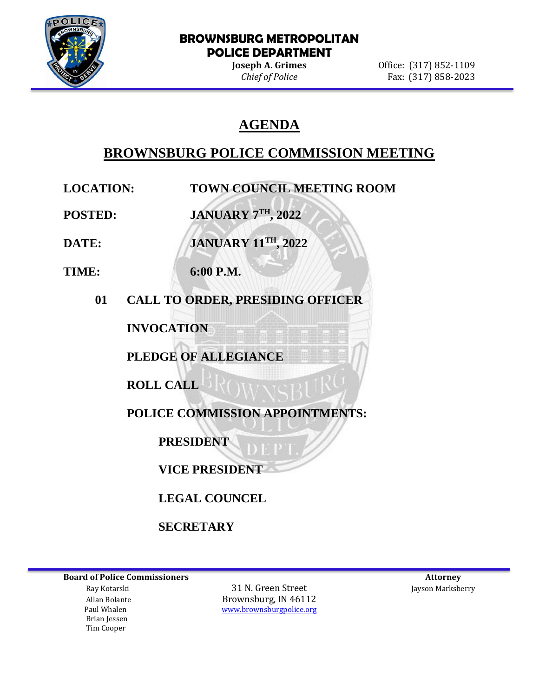

### **BROWNSBURG METROPOLITAN POLICE DEPARTMENT**

**Joseph A. Grimes Office:** (317) 852-1109 *Chief of Police* Fax: (317) 858-2023

### **AGENDA**

## **BROWNSBURG POLICE COMMISSION MEETING**

**LOCATION: TOWN COUNCIL MEETING ROOM**

**POSTED: JANUARY 7TH, 2022**

**DATE: JANUARY 11TH, 2022**

**TIME: 6:00 P.M.**

**01 CALL TO ORDER, PRESIDING OFFICER**

**INVOCATION**

**PLEDGE OF ALLEGIANCE**

**ROLL CALL**

**POLICE COMMISSION APPOINTMENTS:**

**PRESIDENT**

**VICE PRESIDENT**

**LEGAL COUNCEL**

**SECRETARY**

**Board of Police Commissioners Attorney Attorney Attorney Attorney Attorney Attorney Attorney Attorney Attorney** 

 Brian Jessen Tim Cooper

 Ray Kotarski 31 N. Green Street Jayson Marksberry Allan Bolante Brownsburg, IN 46112 Paul Whalen [www.brownsburgpolice.org](http://www.brownsburgpolice.org/)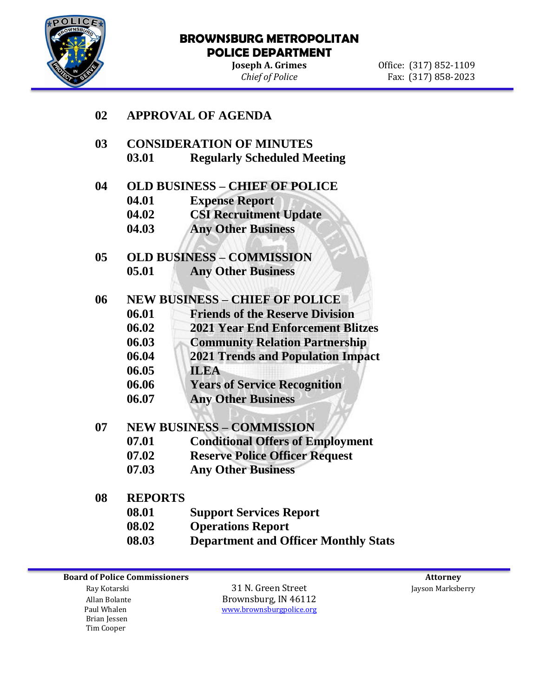

# **BROWNSBURG METROPOLITAN POLICE DEPARTMENT**<br>Joseph A. Grimes

**Joseph A. Grimes** Office: (317) 852-1109<br> *Chief of Police* Fax: (317) 858-2023 *Chief of Police* Fax: (317) 858-2023

| 02 | <b>APPROVAL OF AGENDA</b>             |                                          |
|----|---------------------------------------|------------------------------------------|
| 03 | <b>CONSIDERATION OF MINUTES</b>       |                                          |
|    | 03.01                                 | <b>Regularly Scheduled Meeting</b>       |
| 04 | <b>OLD BUSINESS - CHIEF OF POLICE</b> |                                          |
|    | 04.01                                 | <b>Expense Report</b>                    |
|    | 04.02                                 | <b>CSI Recruitment Update</b>            |
|    | 04.03                                 | <b>Any Other Business</b>                |
| 05 | <b>OLD BUSINESS - COMMISSION</b>      |                                          |
|    | 05.01                                 | <b>Any Other Business</b>                |
| 06 | <b>NEW BUSINESS - CHIEF OF POLICE</b> |                                          |
|    | 06.01                                 | <b>Friends of the Reserve Division</b>   |
|    | 06.02                                 | <b>2021 Year End Enforcement Blitzes</b> |
|    | 06.03                                 | <b>Community Relation Partnership</b>    |
|    | 06.04                                 | <b>2021 Trends and Population Impact</b> |
|    | 06.05                                 | <b>ILEA</b>                              |
|    | 06.06                                 | <b>Years of Service Recognition</b>      |
|    | 06.07                                 | <b>Any Other Business</b>                |
| 07 | <b>NEW BUSINESS - COMMISSION</b>      |                                          |
|    | 07.01                                 | <b>Conditional Offers of Employment</b>  |
|    | 07.02                                 | <b>Reserve Police Officer Request</b>    |
|    | 07.03                                 | <b>Any Other Business</b>                |
| 08 | <b>REPORTS</b>                        |                                          |
|    | 08.01                                 | <b>Support Services Report</b>           |
|    | 08.02                                 | <b>Operations Report</b>                 |

**08.03 Department and Officer Monthly Stats**

**Board of Police Commissioners** Attorney

 Brian Jessen Tim Cooper

Ray Kotarski **1988** Summarksberry 31 N. Green Street **Jayson Marksberry** Allan Bolante<br>
Paul Whalen<br>
Paul Whalen<br>
Brownsburgpolice.org [www.brownsburgpolice.org](http://www.brownsburgpolice.org/)